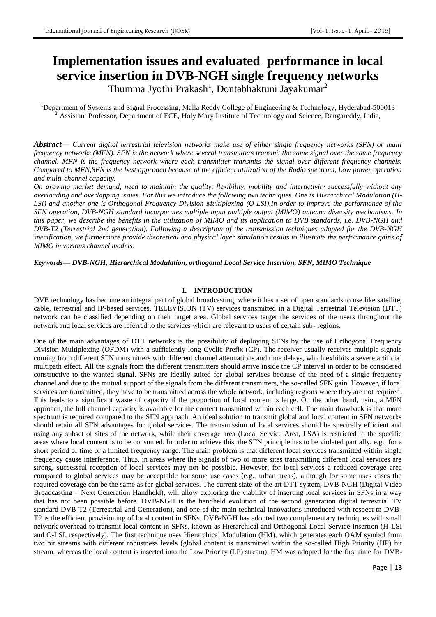# **Implementation issues and evaluated performance in local service insertion in DVB-NGH single frequency networks**

Thumma Jyothi Prakash $^1$ , Dontabhaktuni Jayakumar $^2$ 

<sup>1</sup>Department of Systems and Signal Processing, Malla Reddy College of Engineering & Technology, Hyderabad-500013 <sup>2</sup>Assistant Professor, Department of ECE, Holy Mary Institute of Technology and Science, Rangareddy, India,

*Abstract***—** *Current digital terrestrial television networks make use of either single frequency networks (SFN) or multi frequency networks (MFN). SFN is the network where several transmitters transmit the same signal over the same frequency channel. MFN is the frequency network where each transmitter transmits the signal over different frequency channels. Compared to MFN,SFN is the best approach because of the efficient utilization of the Radio spectrum, Low power operation and multi-channel capacity.*

*On growing market demand, need to maintain the quality, flexibility, mobility and interactivity successfully without any overloading and overlapping issues. For this we introduce the following two techniques. One is Hierarchical Modulation (H-*LSI) and another one is Orthogonal Frequency Division Multiplexing (O-LSI).In order to improve the performance of the *SFN operation, DVB-NGH standard incorporates multiple input multiple output (MIMO) antenna diversity mechanisms. In this paper, we describe the benefits in the utilization of MIMO and its application to DVB standards, i.e. DVB-NGH and DVB-T2 (Terrestrial 2nd generation). Following a description of the transmission techniques adopted for the DVB-NGH specification, we furthermore provide theoretical and physical layer simulation results to illustrate the performance gains of MIMO in various channel models.*

*Keywords— DVB-NGH, Hierarchical Modulation, orthogonal Local Service Insertion, SFN, MIMO Technique*

#### **I. INTRODUCTION**

DVB technology has become an integral part of global broadcasting, where it has a set of open standards to use like satellite, cable, terrestrial and IP-based services. TELEVISION (TV) services transmitted in a Digital Terrestrial Television (DTT) network can be classified depending on their target area. Global services target the services of the users throughout the network and local services are referred to the services which are relevant to users of certain sub- regions.

One of the main advantages of DTT networks is the possibility of deploying SFNs by the use of Orthogonal Frequency Division Multiplexing (OFDM) with a sufficiently long Cyclic Prefix (CP). The receiver usually receives multiple signals coming from different SFN transmitters with different channel attenuations and time delays, which exhibits a severe artificial multipath effect. All the signals from the different transmitters should arrive inside the CP interval in order to be considered constructive to the wanted signal. SFNs are ideally suited for global services because of the need of a single frequency channel and due to the mutual support of the signals from the different transmitters, the so-called SFN gain. However, if local services are transmitted, they have to be transmitted across the whole network, including regions where they are not required. This leads to a significant waste of capacity if the proportion of local content is large. On the other hand, using a MFN approach, the full channel capacity is available for the content transmitted within each cell. The main drawback is that more spectrum is required compared to the SFN approach. An ideal solution to transmit global and local content in SFN networks should retain all SFN advantages for global services. The transmission of local services should be spectrally efficient and using any subset of sites of the network, while their coverage area (Local Service Area, LSA) is restricted to the specific areas where local content is to be consumed. In order to achieve this, the SFN principle has to be violated partially, e.g., for a short period of time or a limited frequency range. The main problem is that different local services transmitted within single frequency cause interference. Thus, in areas where the signals of two or more sites transmitting different local services are strong, successful reception of local services may not be possible. However, for local services a reduced coverage area compared to global services may be acceptable for some use cases (e.g., urban areas), although for some uses cases the required coverage can be the same as for global services. The current state-of-the art DTT system, DVB-NGH (Digital Video Broadcasting – Next Generation Handheld), will allow exploring the viability of inserting local services in SFNs in a way that has not been possible before. DVB-NGH is the handheld evolution of the second generation digital terrestrial TV standard DVB-T2 (Terrestrial 2nd Generation), and one of the main technical innovations introduced with respect to DVB-T2 is the efficient provisioning of local content in SFNs. DVB-NGH has adopted two complementary techniques with small network overhead to transmit local content in SFNs, known as Hierarchical and Orthogonal Local Service Insertion (H-LSI and O-LSI, respectively). The first technique uses Hierarchical Modulation (HM), which generates each QAM symbol from two bit streams with different robustness levels (global content is transmitted within the so-called High Priority (HP) bit stream, whereas the local content is inserted into the Low Priority (LP) stream). HM was adopted for the first time for DVB-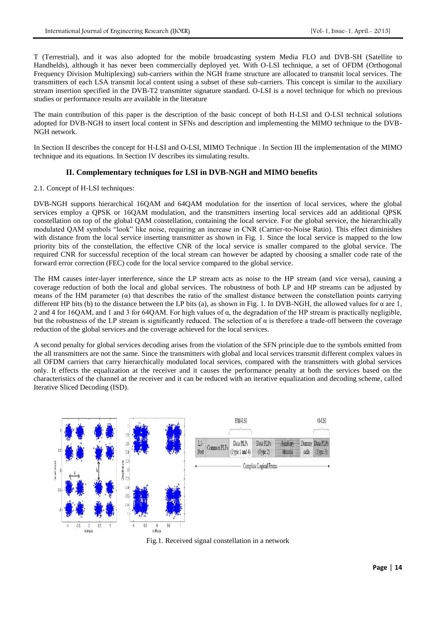T (Terrestrial), and it was also adopted for the mobile broadcasting system Media FLO and DVB-SH (Satellite to Handhelds), although it has never been commercially deployed yet. With O-LSI technique, a set of OFDM (Orthogonal Frequency Division Multiplexing) sub-carriers within the NGH frame structure are allocated to transmit local services. The transmitters of each LSA transmit local content using a subset of these sub-carriers. This concept is similar to the auxiliary stream insertion specified in the DVB-T2 transmitter signature standard. O-LSI is a novel technique for which no previous studies or performance results are available in the literature

The main contribution of this paper is the description of the basic concept of both H-LSI and O-LSI technical solutions adopted for DVB-NGH to insert local content in SFNs and description and implementing the MIMO technique to the DVB-NGH network.

In Section II describes the concept for H-LSI and O-LSI, MIMO Technique . In Section III the implementation of the MIMO technique and its equations. In Section IV describes its simulating results.

## **II. Complementary techniques for LSI in DVB-NGH and MIMO benefits**

#### 2.1. Concept of H-LSI techniques:

DVB-NGH supports hierarchical 16QAM and 64QAM modulation for the insertion of local services, where the global services employ a QPSK or 16QAM modulation, and the transmitters inserting local services add an additional QPSK constellation on top of the global QAM constellation, containing the local service. For the global service, the hierarchically modulated QAM symbols "look" like noise, requiring an increase in CNR (Carrier-to-Noise Ratio). This effect diminishes with distance from the local service inserting transmitter as shown in Fig. 1. Since the local service is mapped to the low priority bits of the constellation, the effective CNR of the local service is smaller compared to the global service. The required CNR for successful reception of the local stream can however be adapted by choosing a smaller code rate of the forward error correction (FEC) code for the local service compared to the global service.

The HM causes inter-layer interference, since the LP stream acts as noise to the HP stream (and vice versa), causing a coverage reduction of both the local and global services. The robustness of both LP and HP streams can be adjusted by means of the HM parameter  $\alpha$ ) that describes the ratio of the smallest distance between the constellation points carrying different HP bits (b) to the distance between the LP bits (a), as shown in Fig. 1. In DVB-NGH, the allowed values for  $\alpha$  are 1, 2 and 4 for 16QAM, and 1 and 3 for 64QAM. For high values of  $\alpha$ , the degradation of the HP stream is practically negligible, but the robustness of the LP stream is significantly reduced. The selection of  $\alpha$  is therefore a trade-off between the coverage reduction of the global services and the coverage achieved for the local services.

A second penalty for global services decoding arises from the violation of the SFN principle due to the symbols emitted from the all transmitters are not the same. Since the transmitters with global and local services transmit different complex values in all OFDM carriers that carry hierarchically modulated local services, compared with the transmitters with global services only. It effects the equalization at the receiver and it causes the performance penalty at both the services based on the characteristics of the channel at the receiver and it can be reduced with an iterative equalization and decoding scheme, called Iterative Sliced Decoding (ISD).



Fig.1. Received signal constellation in a network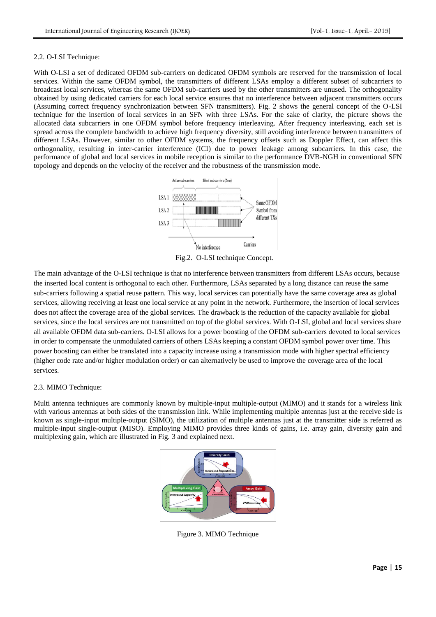#### 2.2. O-LSI Technique:

With O-LSI a set of dedicated OFDM sub-carriers on dedicated OFDM symbols are reserved for the transmission of local services. Within the same OFDM symbol, the transmitters of different LSAs employ a different subset of subcarriers to broadcast local services, whereas the same OFDM sub-carriers used by the other transmitters are unused. The orthogonality obtained by using dedicated carriers for each local service ensures that no interference between adjacent transmitters occurs (Assuming correct frequency synchronization between SFN transmitters). Fig. 2 shows the general concept of the O-LSI technique for the insertion of local services in an SFN with three LSAs. For the sake of clarity, the picture shows the allocated data subcarriers in one OFDM symbol before frequency interleaving. After frequency interleaving, each set is spread across the complete bandwidth to achieve high frequency diversity, still avoiding interference between transmitters of different LSAs. However, similar to other OFDM systems, the frequency offsets such as Doppler Effect, can affect this orthogonality, resulting in inter-carrier interference (ICI) due to power leakage among subcarriers. In this case, the performance of global and local services in mobile reception is similar to the performance DVB-NGH in conventional SFN topology and depends on the velocity of the receiver and the robustness of the transmission mode.



Fig.2. O-LSI technique Concept.

The main advantage of the O-LSI technique is that no interference between transmitters from different LSAs occurs, because the inserted local content is orthogonal to each other. Furthermore, LSAs separated by a long distance can reuse the same sub-carriers following a spatial reuse pattern. This way, local services can potentially have the same coverage area as global services, allowing receiving at least one local service at any point in the network. Furthermore, the insertion of local services does not affect the coverage area of the global services. The drawback is the reduction of the capacity available for global services, since the local services are not transmitted on top of the global services. With O-LSI, global and local services share all available OFDM data sub-carriers. O-LSI allows for a power boosting of the OFDM sub-carriers devoted to local services in order to compensate the unmodulated carriers of others LSAs keeping a constant OFDM symbol power over time. This power boosting can either be translated into a capacity increase using a transmission mode with higher spectral efficiency (higher code rate and/or higher modulation order) or can alternatively be used to improve the coverage area of the local services.

### 2.3. MIMO Technique:

Multi antenna techniques are commonly known by multiple-input multiple-output (MIMO) and it stands for a wireless link with various antennas at both sides of the transmission link. While implementing multiple antennas just at the receive side is known as single-input multiple-output (SIMO), the utilization of multiple antennas just at the transmitter side is referred as multiple-input single-output (MISO). Employing MIMO provides three kinds of gains, i.e. array gain, diversity gain and multiplexing gain, which are illustrated in Fig. 3 and explained next.



Figure 3. MIMO Technique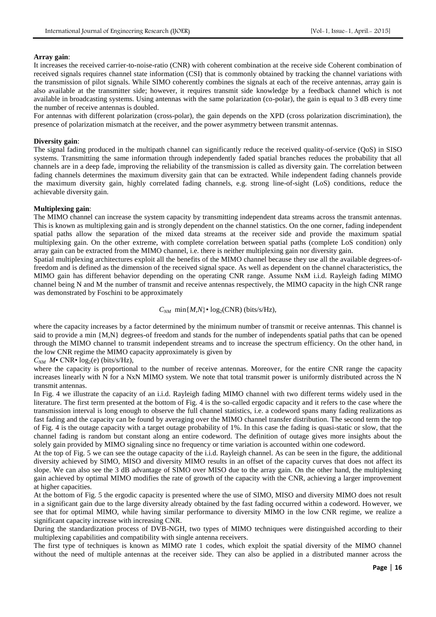#### **Array gain**:

It increases the received carrier-to-noise-ratio (CNR) with coherent combination at the receive side Coherent combination of received signals requires channel state information (CSI) that is commonly obtained by tracking the channel variations with the transmission of pilot signals. While SIMO coherently combines the signals at each of the receive antennas, array gain is also available at the transmitter side; however, it requires transmit side knowledge by a feedback channel which is not available in broadcasting systems. Using antennas with the same polarization (co-polar), the gain is equal to 3 dB every time the number of receive antennas is doubled.

For antennas with different polarization (cross-polar), the gain depends on the XPD (cross polarization discrimination), the presence of polarization mismatch at the receiver, and the power asymmetry between transmit antennas.

#### **Diversity gain**:

The signal fading produced in the multipath channel can significantly reduce the received quality-of-service (QoS) in SISO systems. Transmitting the same information through independently faded spatial branches reduces the probability that all channels are in a deep fade, improving the reliability of the transmission is called as diversity gain. The correlation between fading channels determines the maximum diversity gain that can be extracted. While independent fading channels provide the maximum diversity gain, highly correlated fading channels, e.g. strong line-of-sight (LoS) conditions, reduce the achievable diversity gain.

#### **Multiplexing gain**:

The MIMO channel can increase the system capacity by transmitting independent data streams across the transmit antennas. This is known as multiplexing gain and is strongly dependent on the channel statistics. On the one corner, fading independent spatial paths allow the separation of the mixed data streams at the receiver side and provide the maximum spatial multiplexing gain. On the other extreme, with complete correlation between spatial paths (complete LoS condition) only array gain can be extracted from the MIMO channel, i.e. there is neither multiplexing gain nor diversity gain.

Spatial multiplexing architectures exploit all the benefits of the MIMO channel because they use all the available degrees-offreedom and is defined as the dimension of the received signal space. As well as dependent on the channel characteristics, the MIMO gain has different behavior depending on the operating CNR range. Assume NxM i.i.d. Rayleigh fading MIMO channel being N and M the number of transmit and receive antennas respectively, the MIMO capacity in the high CNR range was demonstrated by Foschini to be approximately

#### $C_{NM}$  min{ $M, N$ }• log<sub>2</sub>(CNR) (bits/s/Hz),

where the capacity increases by a factor determined by the minimum number of transmit or receive antennas. This channel is said to provide a min {M,N} degrees-of freedom and stands for the number of independents spatial paths that can be opened through the MIMO channel to transmit independent streams and to increase the spectrum efficiency. On the other hand, in the low CNR regime the MIMO capacity approximately is given by

 $C_{NM}$  *M*• CNR•  $log_2(e)$  (bits/s/Hz),

where the capacity is proportional to the number of receive antennas. Moreover, for the entire CNR range the capacity increases linearly with N for a NxN MIMO system. We note that total transmit power is uniformly distributed across the N transmit antennas.

In Fig. 4 we illustrate the capacity of an i.i.d. Rayleigh fading MIMO channel with two different terms widely used in the literature. The first term presented at the bottom of Fig. 4 is the so-called ergodic capacity and it refers to the case where the transmission interval is long enough to observe the full channel statistics, i.e. a codeword spans many fading realizations as fast fading and the capacity can be found by averaging over the MIMO channel transfer distribution. The second term the top of Fig. 4 is the outage capacity with a target outage probability of 1%. In this case the fading is quasi-static or slow, that the channel fading is random but constant along an entire codeword. The definition of outage gives more insights about the solely gain provided by MIMO signaling since no frequency or time variation is accounted within one codeword.

At the top of Fig. 5 we can see the outage capacity of the i.i.d. Rayleigh channel. As can be seen in the figure, the additional diversity achieved by SIMO, MISO and diversity MIMO results in an offset of the capacity curves that does not affect its slope. We can also see the 3 dB advantage of SIMO over MISO due to the array gain. On the other hand, the multiplexing gain achieved by optimal MIMO modifies the rate of growth of the capacity with the CNR, achieving a larger improvement at higher capacities.

At the bottom of Fig. 5 the ergodic capacity is presented where the use of SIMO, MISO and diversity MIMO does not result in a significant gain due to the large diversity already obtained by the fast fading occurred within a codeword. However, we see that for optimal MIMO, while having similar performance to diversity MIMO in the low CNR regime, we realize a significant capacity increase with increasing CNR.

During the standardization process of DVB-NGH, two types of MIMO techniques were distinguished according to their multiplexing capabilities and compatibility with single antenna receivers.

The first type of techniques is known as MIMO rate 1 codes, which exploit the spatial diversity of the MIMO channel without the need of multiple antennas at the receiver side. They can also be applied in a distributed manner across the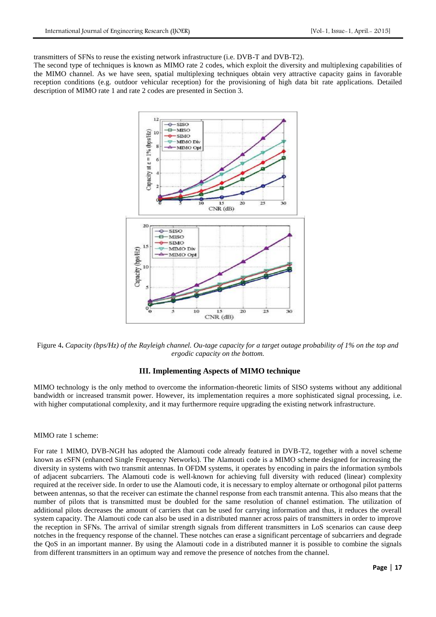transmitters of SFNs to reuse the existing network infrastructure (i.e. DVB-T and DVB-T2).

The second type of techniques is known as MIMO rate 2 codes, which exploit the diversity and multiplexing capabilities of the MIMO channel. As we have seen, spatial multiplexing techniques obtain very attractive capacity gains in favorable reception conditions (e.g. outdoor vehicular reception) for the provisioning of high data bit rate applications. Detailed description of MIMO rate 1 and rate 2 codes are presented in Section 3.



Figure 4**.** *Capacity (bps/Hz) of the Rayleigh channel. Ou-tage capacity for a target outage probability of 1% on the top and ergodic capacity on the bottom.*

### **III. Implementing Aspects of MIMO technique**

MIMO technology is the only method to overcome the information-theoretic limits of SISO systems without any additional bandwidth or increased transmit power. However, its implementation requires a more sophisticated signal processing, i.e. with higher computational complexity, and it may furthermore require upgrading the existing network infrastructure.

#### MIMO rate 1 scheme:

For rate 1 MIMO, DVB-NGH has adopted the Alamouti code already featured in DVB-T2, together with a novel scheme known as eSFN (enhanced Single Frequency Networks). The Alamouti code is a MIMO scheme designed for increasing the diversity in systems with two transmit antennas. In OFDM systems, it operates by encoding in pairs the information symbols of adjacent subcarriers. The Alamouti code is well-known for achieving full diversity with reduced (linear) complexity required at the receiver side. In order to use the Alamouti code, it is necessary to employ alternate or orthogonal pilot patterns between antennas, so that the receiver can estimate the channel response from each transmit antenna. This also means that the number of pilots that is transmitted must be doubled for the same resolution of channel estimation. The utilization of additional pilots decreases the amount of carriers that can be used for carrying information and thus, it reduces the overall system capacity. The Alamouti code can also be used in a distributed manner across pairs of transmitters in order to improve the reception in SFNs. The arrival of similar strength signals from different transmitters in LoS scenarios can cause deep notches in the frequency response of the channel. These notches can erase a significant percentage of subcarriers and degrade the QoS in an important manner. By using the Alamouti code in a distributed manner it is possible to combine the signals from different transmitters in an optimum way and remove the presence of notches from the channel.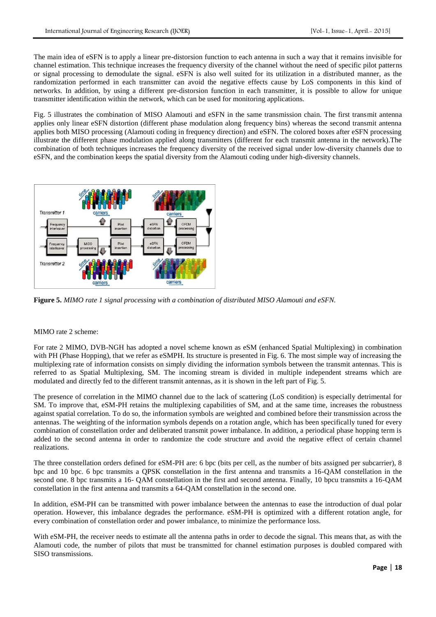The main idea of eSFN is to apply a linear pre-distorsion function to each antenna in such a way that it remains invisible for channel estimation. This technique increases the frequency diversity of the channel without the need of specific pilot patterns or signal processing to demodulate the signal. eSFN is also well suited for its utilization in a distributed manner, as the randomization performed in each transmitter can avoid the negative effects cause by LoS components in this kind of networks. In addition, by using a different pre-distorsion function in each transmitter, it is possible to allow for unique transmitter identification within the network, which can be used for monitoring applications.

Fig. 5 illustrates the combination of MISO Alamouti and eSFN in the same transmission chain. The first transmit antenna applies only linear eSFN distortion (different phase modulation along frequency bins) whereas the second transmit antenna applies both MISO processing (Alamouti coding in frequency direction) and eSFN. The colored boxes after eSFN processing illustrate the different phase modulation applied along transmitters (different for each transmit antenna in the network).The combination of both techniques increases the frequency diversity of the received signal under low-diversity channels due to eSFN, and the combination keeps the spatial diversity from the Alamouti coding under high-diversity channels.



**Figure 5.** *MIMO rate 1 signal processing with a combination of distributed MISO Alamouti and eSFN.*

#### MIMO rate 2 scheme:

For rate 2 MIMO, DVB-NGH has adopted a novel scheme known as eSM (enhanced Spatial Multiplexing) in combination with PH (Phase Hopping), that we refer as eSMPH. Its structure is presented in Fig. 6. The most simple way of increasing the multiplexing rate of information consists on simply dividing the information symbols between the transmit antennas. This is referred to as Spatial Multiplexing, SM. The incoming stream is divided in multiple independent streams which are modulated and directly fed to the different transmit antennas, as it is shown in the left part of Fig. 5.

The presence of correlation in the MIMO channel due to the lack of scattering (LoS condition) is especially detrimental for SM. To improve that, eSM-PH retains the multiplexing capabilities of SM, and at the same time, increases the robustness against spatial correlation. To do so, the information symbols are weighted and combined before their transmission across the antennas. The weighting of the information symbols depends on a rotation angle, which has been specifically tuned for every combination of constellation order and deliberated transmit power imbalance. In addition, a periodical phase hopping term is added to the second antenna in order to randomize the code structure and avoid the negative effect of certain channel realizations.

The three constellation orders defined for eSM-PH are: 6 bpc (bits per cell, as the number of bits assigned per subcarrier), 8 bpc and 10 bpc. 6 bpc transmits a QPSK constellation in the first antenna and transmits a 16-QAM constellation in the second one. 8 bpc transmits a 16- QAM constellation in the first and second antenna. Finally, 10 bpcu transmits a 16-QAM constellation in the first antenna and transmits a 64-QAM constellation in the second one.

In addition, eSM-PH can be transmitted with power imbalance between the antennas to ease the introduction of dual polar operation. However, this imbalance degrades the performance. eSM-PH is optimized with a different rotation angle, for every combination of constellation order and power imbalance, to minimize the performance loss.

With eSM-PH, the receiver needs to estimate all the antenna paths in order to decode the signal. This means that, as with the Alamouti code, the number of pilots that must be transmitted for channel estimation purposes is doubled compared with SISO transmissions.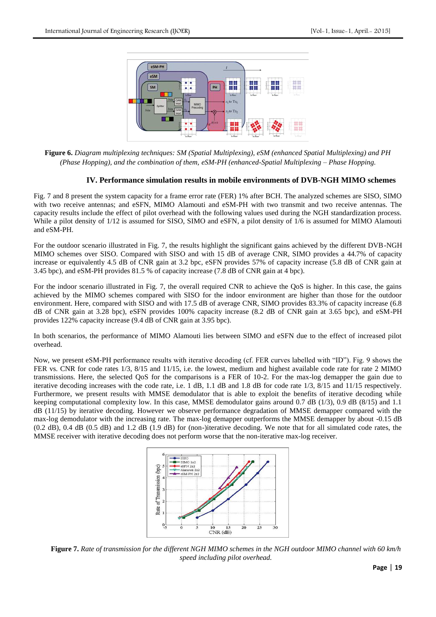

**Figure 6.** *Diagram multiplexing techniques: SM (Spatial Multiplexing), eSM (enhanced Spatial Multiplexing) and PH (Phase Hopping), and the combination of them, eSM-PH (enhanced-Spatial Multiplexing – Phase Hopping.*

### **IV. Performance simulation results in mobile environments of DVB-NGH MIMO schemes**

Fig. 7 and 8 present the system capacity for a frame error rate (FER) 1% after BCH. The analyzed schemes are SISO, SIMO with two receive antennas; and eSFN, MIMO Alamouti and eSM-PH with two transmit and two receive antennas. The capacity results include the effect of pilot overhead with the following values used during the NGH standardization process. While a pilot density of  $1/12$  is assumed for SISO, SIMO and eSFN, a pilot density of  $1/6$  is assumed for MIMO Alamouti and eSM-PH.

For the outdoor scenario illustrated in Fig. 7, the results highlight the significant gains achieved by the different DVB-NGH MIMO schemes over SISO. Compared with SISO and with 15 dB of average CNR, SIMO provides a 44.7% of capacity increase or equivalently 4.5 dB of CNR gain at 3.2 bpc, eSFN provides 57% of capacity increase (5.8 dB of CNR gain at 3.45 bpc), and eSM-PH provides 81.5 % of capacity increase (7.8 dB of CNR gain at 4 bpc).

For the indoor scenario illustrated in Fig. 7, the overall required CNR to achieve the QoS is higher. In this case, the gains achieved by the MIMO schemes compared with SISO for the indoor environment are higher than those for the outdoor environment. Here, compared with SISO and with 17.5 dB of average CNR, SIMO provides 83.3% of capacity increase (6.8 dB of CNR gain at 3.28 bpc), eSFN provides 100% capacity increase (8.2 dB of CNR gain at 3.65 bpc), and eSM-PH provides 122% capacity increase (9.4 dB of CNR gain at 3.95 bpc).

In both scenarios, the performance of MIMO Alamouti lies between SIMO and eSFN due to the effect of increased pilot overhead.

Now, we present eSM-PH performance results with iterative decoding (cf. FER curves labelled with "ID"). Fig. 9 shows the FER vs. CNR for code rates 1/3, 8/15 and 11/15, i.e. the lowest, medium and highest available code rate for rate 2 MIMO transmissions. Here, the selected QoS for the comparisons is a FER of 10-2. For the max-log demapper the gain due to iterative decoding increases with the code rate, i.e. 1 dB, 1.1 dB and 1.8 dB for code rate 1/3, 8/15 and 11/15 respectively. Furthermore, we present results with MMSE demodulator that is able to exploit the benefits of iterative decoding while keeping computational complexity low. In this case, MMSE demodulator gains around 0.7 dB (1/3), 0.9 dB (8/15) and 1.1 dB (11/15) by iterative decoding. However we observe performance degradation of MMSE demapper compared with the max-log demodulator with the increasing rate. The max-log demapper outperforms the MMSE demapper by about -0.15 dB (0.2 dB), 0.4 dB (0.5 dB) and 1.2 dB (1.9 dB) for (non-)iterative decoding. We note that for all simulated code rates, the MMSE receiver with iterative decoding does not perform worse that the non-iterative max-log receiver.



**Figure 7.** *Rate of transmission for the different NGH MIMO schemes in the NGH outdoor MIMO channel with 60 km/h speed including pilot overhead.*